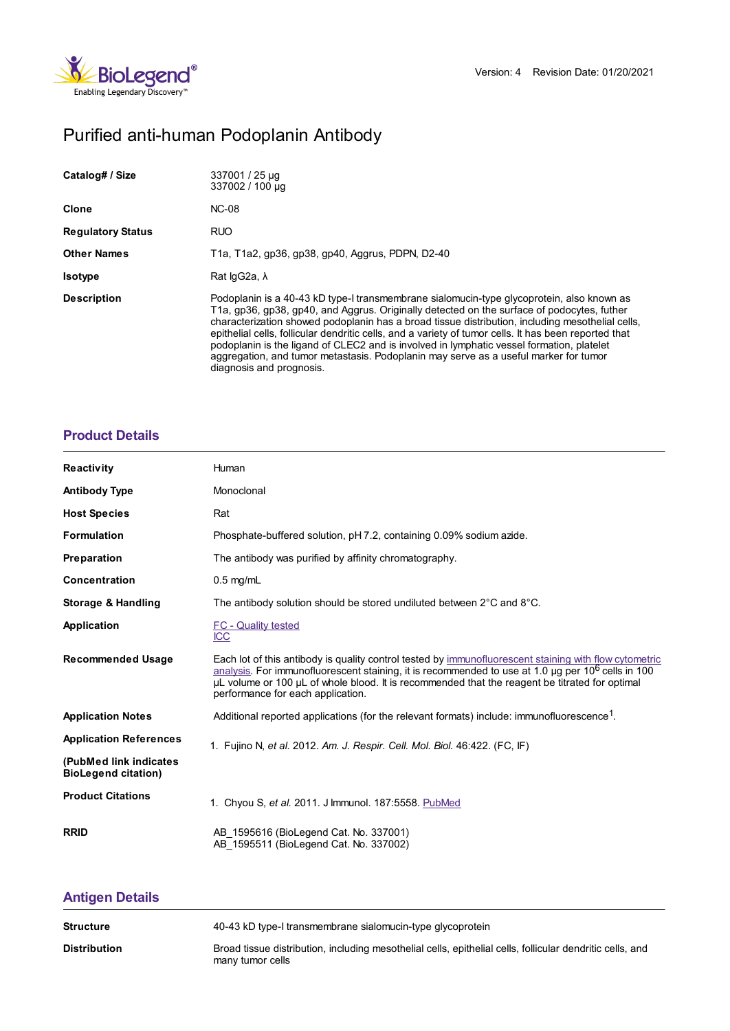

# Purified anti-human Podoplanin Antibody

| Catalog# / Size          | 337001 / 25 µg<br>337002 / 100 µg                                                                                                                                                                                                                                                                                                                                                                                                                                                                                                                                                                                     |
|--------------------------|-----------------------------------------------------------------------------------------------------------------------------------------------------------------------------------------------------------------------------------------------------------------------------------------------------------------------------------------------------------------------------------------------------------------------------------------------------------------------------------------------------------------------------------------------------------------------------------------------------------------------|
| Clone                    | <b>NC-08</b>                                                                                                                                                                                                                                                                                                                                                                                                                                                                                                                                                                                                          |
| <b>Regulatory Status</b> | <b>RUO</b>                                                                                                                                                                                                                                                                                                                                                                                                                                                                                                                                                                                                            |
| <b>Other Names</b>       | T1a, T1a2, qp36, qp38, qp40, Aggrus, PDPN, D2-40                                                                                                                                                                                                                                                                                                                                                                                                                                                                                                                                                                      |
| <b>Isotype</b>           | Rat $log 2a$ , $\lambda$                                                                                                                                                                                                                                                                                                                                                                                                                                                                                                                                                                                              |
| <b>Description</b>       | Podoplanin is a 40-43 kD type-I transmembrane sialomucin-type glycoprotein, also known as<br>T1a, gp36, gp38, gp40, and Aggrus. Originally detected on the surface of podocytes, futher<br>characterization showed podoplanin has a broad tissue distribution, including mesothelial cells,<br>epithelial cells, follicular dendritic cells, and a variety of tumor cells. It has been reported that<br>podoplanin is the ligand of CLEC2 and is involved in lymphatic vessel formation, platelet<br>aggregation, and tumor metastasis. Podoplanin may serve as a useful marker for tumor<br>diagnosis and prognosis. |

## **[Product](https://www.biolegend.com/en-us/search-results/purified-anti-human-podoplanin-antibody-5797?pdf=true&displayInline=true&leftRightMargin=15&topBottomMargin=15&filename=Purified anti-human Podoplanin Antibody.pdf#productDetails) Details**

| <b>Reactivity</b>                                    | Human                                                                                                                                                                                                                                                                                                                                                               |
|------------------------------------------------------|---------------------------------------------------------------------------------------------------------------------------------------------------------------------------------------------------------------------------------------------------------------------------------------------------------------------------------------------------------------------|
| <b>Antibody Type</b>                                 | Monoclonal                                                                                                                                                                                                                                                                                                                                                          |
| <b>Host Species</b>                                  | Rat                                                                                                                                                                                                                                                                                                                                                                 |
| <b>Formulation</b>                                   | Phosphate-buffered solution, pH 7.2, containing 0.09% sodium azide.                                                                                                                                                                                                                                                                                                 |
| <b>Preparation</b>                                   | The antibody was purified by affinity chromatography.                                                                                                                                                                                                                                                                                                               |
| Concentration                                        | $0.5$ mg/mL                                                                                                                                                                                                                                                                                                                                                         |
| Storage & Handling                                   | The antibody solution should be stored undiluted between 2°C and 8°C.                                                                                                                                                                                                                                                                                               |
| Application                                          | <b>FC</b> - Quality tested<br><b>ICC</b>                                                                                                                                                                                                                                                                                                                            |
| <b>Recommended Usage</b>                             | Each lot of this antibody is quality control tested by immunofluorescent staining with flow cytometric<br>analysis. For immunofluorescent staining, it is recommended to use at 1.0 $\mu$ g per 10 <sup>6</sup> cells in 100<br>µL volume or 100 µL of whole blood. It is recommended that the reagent be titrated for optimal<br>performance for each application. |
| <b>Application Notes</b>                             | Additional reported applications (for the relevant formats) include: immunofluorescence <sup>1</sup> .                                                                                                                                                                                                                                                              |
| <b>Application References</b>                        | 1. Fujino N, et al. 2012. Am. J. Respir. Cell. Mol. Biol. 46:422. (FC, IF)                                                                                                                                                                                                                                                                                          |
| (PubMed link indicates<br><b>BioLegend citation)</b> |                                                                                                                                                                                                                                                                                                                                                                     |
| <b>Product Citations</b>                             | 1. Chyou S, et al. 2011. J Immunol. 187:5558. PubMed                                                                                                                                                                                                                                                                                                                |
| <b>RRID</b>                                          | AB 1595616 (BioLegend Cat. No. 337001)<br>AB 1595511 (BioLegend Cat. No. 337002)                                                                                                                                                                                                                                                                                    |

# **[Antigen](https://www.biolegend.com/en-us/search-results/purified-anti-human-podoplanin-antibody-5797?pdf=true&displayInline=true&leftRightMargin=15&topBottomMargin=15&filename=Purified anti-human Podoplanin Antibody.pdf#antigenDetails) Details**

| Structure    | 40-43 kD type-I transmembrane sialomucin-type glycoprotein                                                                    |
|--------------|-------------------------------------------------------------------------------------------------------------------------------|
| Distribution | Broad tissue distribution, including mesothelial cells, epithelial cells, follicular dendritic cells, and<br>many tumor cells |